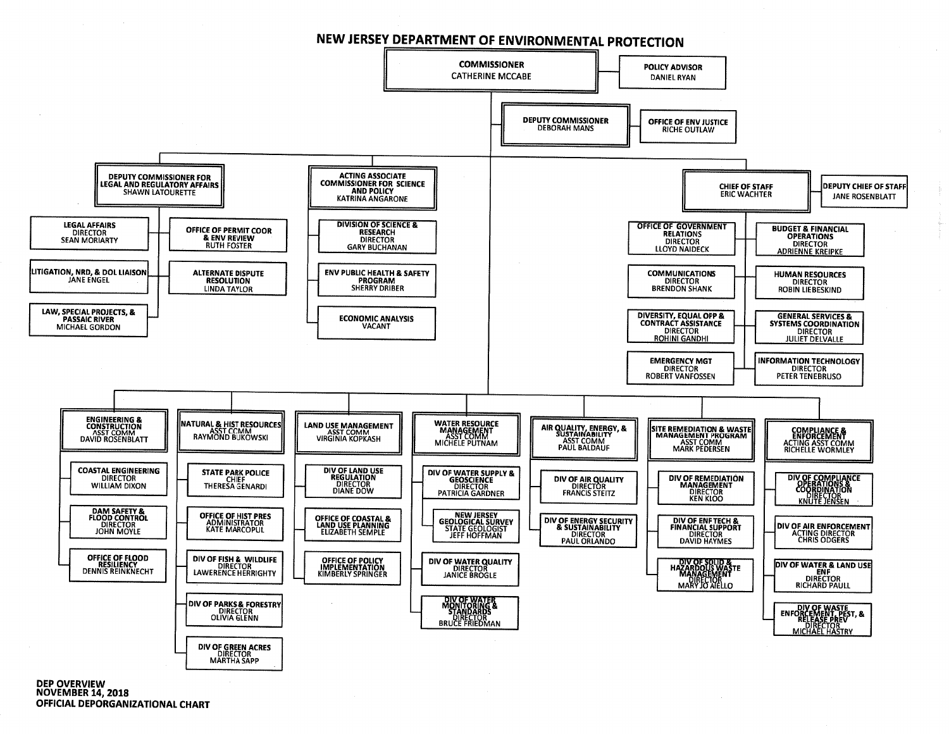NEW JERSEY DEPARTMENT OF ENVIRONMENTAL PROTECTION



**DEP OVERVIEW NOVEMBER 14, 2018** OFFICIAL DEPORGANIZATIONAL CHART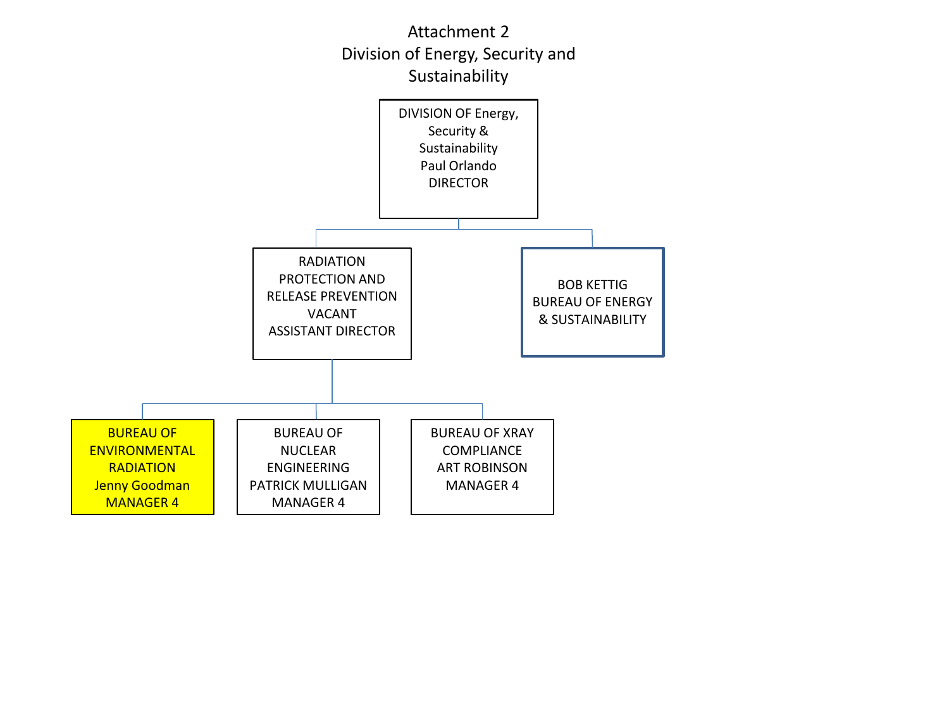